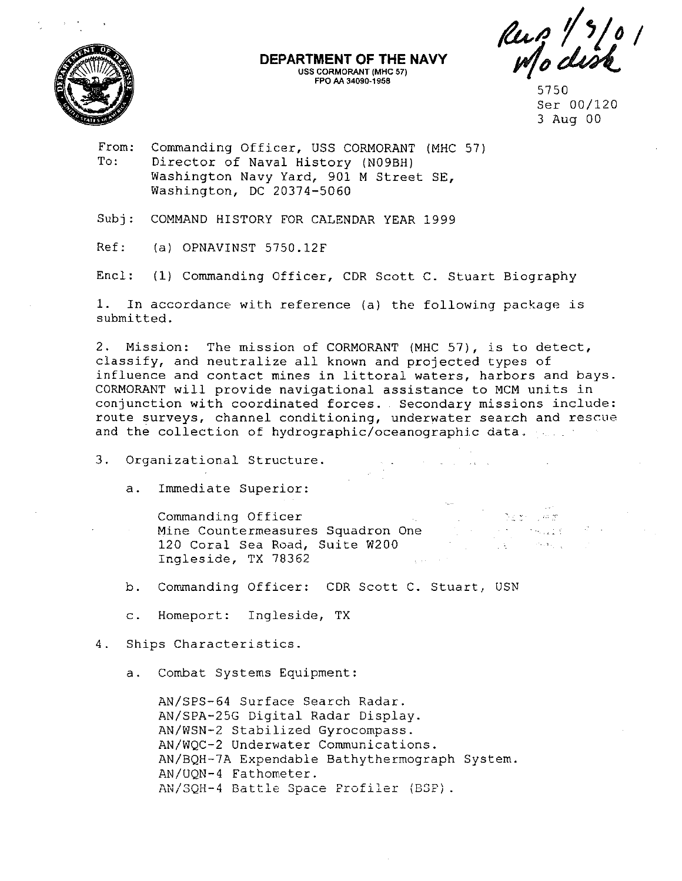

**DEPARTMENT OF THE NAVY**  USS **CORMORANT {MHC** 57) **FPO AA 34090·1958** 

Rug 1/3/0.<br>Modisk

From: To: Commanding Officer, USS CORMORANT (MHC 57) Director of Naval History (N09BH) Washington Navy Yard, 901 M Street SE, Washington, DC 20374-5060

Subj: COMMAND HISTORY FOR CALENDAR YEAR 1999

Ref: (a) OPNAVINST 5750 .12F

Encl: (1) Commanding Officer, CDR Scott C. Stuart Biography

1. In accordance with reference (a) the following package is submitted.

2. Mission: The mission of CORMORANT (MHC 57), is to detect, classify, and neutralize all known and projected types of influence and contact mines in littoral waters, harbors and bays. CORMORANT will provide navigational assistance to MCM units in conjunction with coordinated forces. Secondary missions include: route surveys, channel conditioning, underwater search and rescue and the collection of hydrographic/oceanographic data.

3. Organizational Structure.

a. Immediate Superior:

Commanding Officer Mine Countermeasures Squadron One 120 Coral Sea Road, Suite W200 Ingleside, TX 78362

b. Commanding Officer: CDR Scott C. Stuart, USN

c. Homeport: Ingleside, TX

4. Ships Characteristics.

a. Combat Systems Equipment:

AN/SPS-64 Surface Search Radar. AN/SPA-25G Digital Radar Display. AN/WSN-2 Stabilized Gyrocompass. AN/WQC-2 Underwater Communications. AN/BQH-7A Expendable Bathythermograph System. AN/UQN-4 Fathometer. **AN/SQH-4 Battle Space Profiler (BSP).** 

<sup>5750</sup>  Ser 00/120 3 Aug 00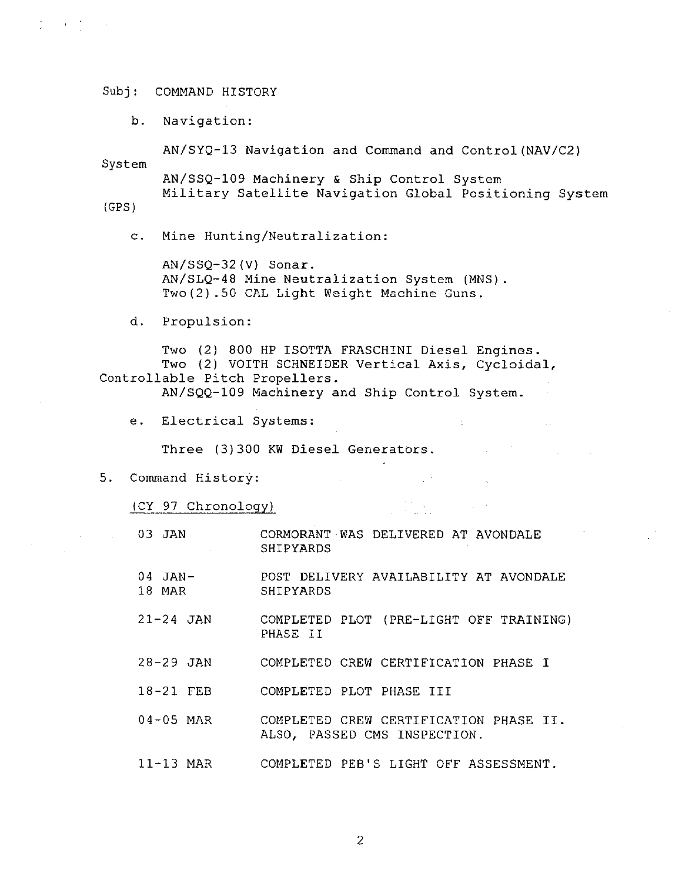b. Navigation:

AN/SYQ-13 Navigation and Command and Control(NAV/C2) System AN/SSQ-109 Machinery & Ship Control System Military Satellite Navigation Global Positioning System

(GPS)

 $\sum_{i=1}^n \left\{ \left\langle \left( \frac{1}{2} \right)^2 \right\rangle \right\} = \left\{ \left( \frac{1}{2} \right)^2 \right\} = \left\{ \left( \frac{1}{2} \right)^2 \right\} = \left\{ \left( \frac{1}{2} \right)^2 \right\}$ 

c. Mine Hunting/Neutralization:

AN/SSQ-32(V) Sonar. AN/SLQ-48 Mine Neutralization System (MNS). Two(2) .50 CAL Light Weight Machine Guns.

d. Propulsion:

Two (2) 800 HP ISOTTA FRASCHINI Diesel Engines. Two (2) VOITH SCHNEIDER Vertical Axis, Cycloidal, Controllable Pitch Propellers.

AN/SQQ-109 Machinery and Ship Control System.

 $\sim 10^6$ 

 $\mathcal{L}^{\mathcal{L}}(\mathcal{L}^{\mathcal{L}})$  ,  $\mathcal{L}^{\mathcal{L}}(\mathcal{L}^{\mathcal{L}})$ 

e. Electrical Systems:

Three (3)300 KW Diesel Generators.

5. Command History:

(CY 97 Chronology)

- 03 JAN CORMORANT WAS DELIVERED AT AVONDALE SHIPYARDS
- $04$  JAN $-$ 18 MAR POST DELIVERY AVAILABILITY AT AVONDALE SHIPYARDS
- 21-24 JAN COMPLETED PLOT (PRE-LIGHT OFF TRAINING) PHASE II
- 28-29 JAN COMPLETED CREW CERTIFICATION PHASE I
- 18-21 FEB COMPLETED PLOT PHASE III
- 04-05 MAR COMPLETED CREW CERTIFICATION PHASE II. ALSO, PASSED CMS INSPECTION.
- 11-13 MAR COMPLETED PES'S LIGHT OFF ASSESSMENT.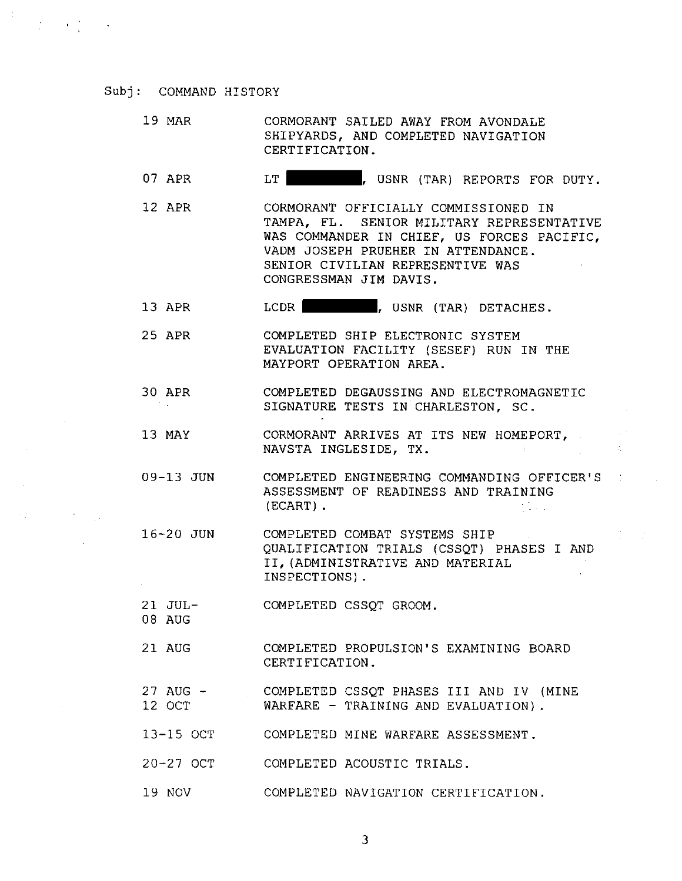$\mathcal{L}^{\text{max}}(\mathcal{L}^{\text{max}})$  , where  $\mathcal{L}^{\text{max}}(\mathcal{L}^{\text{max}})$ 

- 19 MAR CORMORANT SAILED AWAY FROM AVONDALE SHIPYARDS, AND COMPLETED NAVIGATION CERTIFICATION.
- 07 APR LT GUSNR (TAR) REPORTS FOR DUTY.
- 12 APR CORMORANT OFFICIALLY COMMISSIONED IN TAMPA, FL. SENIOR MILITARY REPRESENTATIVE WAS COMMANDER IN CHIEF, US FORCES PACIFIC, VADM JOSEPH PRUEHER IN ATTENDANCE. SENIOR CIVILIAN REPRESENTIVE WAS CONGRESSMAN JIM DAVIS.
- 13 APR LCDR JUSNR (TAR) DETACHES.
- 25 APR COMPLETED SHIP ELECTRONIC SYSTEM EVALUATION FACILITY (SESEF) RUN IN THE MAYPORT OPERATION AREA.
- 30 APR COMPLETED DEGAUSSING AND ELECTROMAGNETIC SIGNATURE TESTS IN CHARLESTON, SC. of the con-
- 13 MAY CORMORANT ARRIVES AT ITS NEW HOMEPORT, NAVSTA INGLESIDE, TX.
- 09-13 JUN COMPLETED ENGINEERING COMMANDING OFFICER'S ASSESSMENT OF READINESS AND TRAINING (ECART) . 大変など

 $\sim 10^6$ 

- 16-20 JUN COMPLETED COMBAT SYSTEMS SHIP QUALIFICATION TRIALS (CSSQT) PHASES I AND II, (ADMINISTRATIVE AND MATERIAL INSPECTIONS) .
- 21 JUL-COMPLETED CSSQT GROOM.
- 08 AUG
- 21 AUG COMPLETED PROPULSION'S EXAMINING BOARD CERTIFICATION.
- 27 AUG 12 OCT COMPLETED CSSQT PHASES III AND IV (MINE WARFARE - TRAINING AND EVALUATION).
- 13-15 OCT COMPLETED MINE WARFARE ASSESSMENT.
- 20-27 OCT COMPLETED ACOUSTIC TRIALS.
- 19 NOV COMPLETED NAVIGATION CERTIFICATION.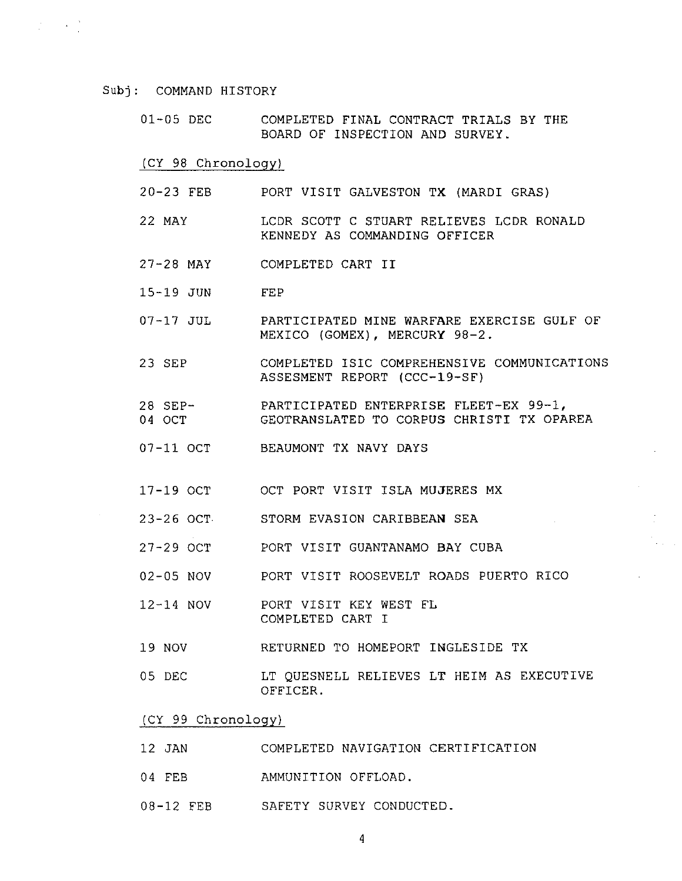$\mathcal{L}^{\text{max}}(\mathbf{z})$  ,  $\mathcal{L}^{\text{max}}(\mathbf{z})$ 

01-05 DEC COMPLETED FINAL CONTRACT TRIALS BY THE BOARD OF INSPECTION AND SURVEY.

(CY 98 Chronology)

- 20-23 FEB PORT VISIT GALVESTON TX (MARDI GRAS)
- 22 MAY LCDR SCOTT C STUART RELIEVES LCDR RONALD KENNEDY AS COMMANDING OFFICER
- 27-28 MAY COMPLETED CART II
- 15-19 JUN FEP
- 07-17 JUL PARTICIPATED MINE WARFARE EXERCISE GULF OF MEXICO (GOMEX), MERCURY 98-2.
- 23 SEP COMPLETED ISIC COMPREHENSIVE COMMUNICATIONS ASSESMENT REPORT (CCC-19-SF)
- 28 SEP-04 OCT PARTICIPATED ENTERPRISE FLEET-EX 99-1, GEOTRANSLATED TO CORPUS CHRISTI TX OPAREA
- 07-11 OCT BEAUMONT TX NAVY DAYS
- 17-19 OCT OCT PORT VISIT ISLA MUJERES MX
- 23-26 OCT STORM EVASION CARIBBEAN SEA
- 27-29 OCT PORT VISIT GUANTANAMO BAY CUBA
- 02-05 NOV PORT VISIT ROOSEVELT ROADS PUERTO RICO
- 12-14 NOV PORT VISIT KEY WEST FL COMPLETED CART I
- 19 NOV RETURNED TO HOMEPORT INGLESIDE TX
- 05 DEC LT QUESNELL RELIEVES LT HEIM AS EXECUTIVE OFFICER.

(CY 99 Chronology)

- 12 JAN COMPLETED NAVIGATION CERTIFICATION
- 04 FEB AMMUNITION OFFLOAD.
- 08-12 FEB SAFETY SURVEY CONDUCTED.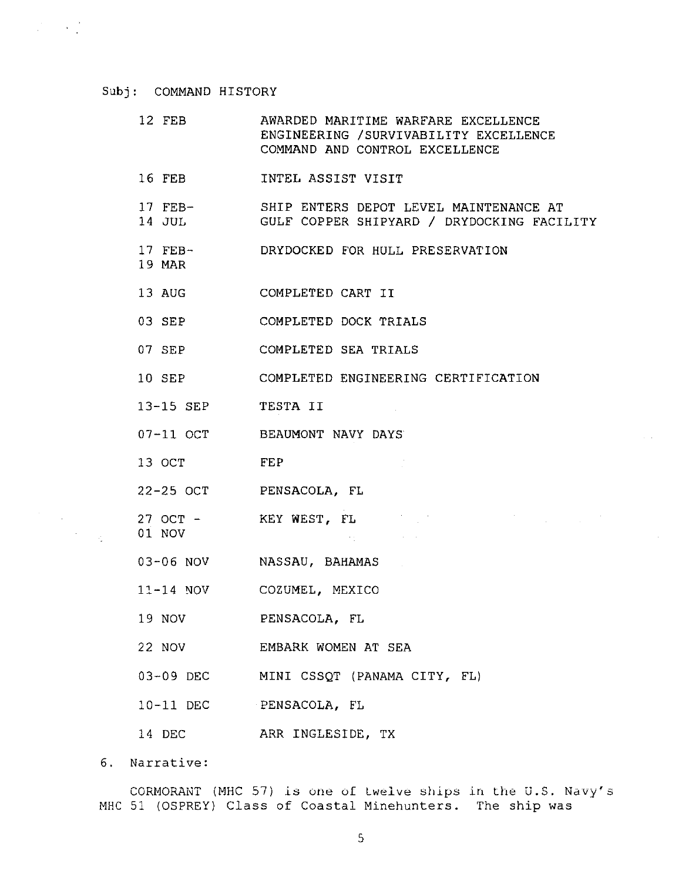$\frac{1}{2} \left( \frac{1}{2} \right) \left( \frac{1}{2} \right) \left( \frac{1}{2} \right) \left( \frac{1}{2} \right)$ 

- 12 FEB AWARDED MARITIME WARFARE EXCELLENCE ENGINEERING /SURVIVABILITY EXCELLENCE COMMAND AND CONTROL EXCELLENCE
- 16 FEB INTEL ASSIST VISIT
- 17 FEB-SHIP ENTERS DEPOT LEVEL MAINTENANCE AT
- 14 JUL GULF COPPER SHIPYARD / DRYDOCKING FACILITY
- 17 FEB-DRYDOCKED FOR HULL PRESERVATION
- 19 MAR
- 13 AUG COMPLETED CART II
- 03 SEP COMPLETED DOCK TRIALS
- 07 SEP COMPLETED SEA TRIALS
- 10 SEP COMPLETED ENGINEERING CERTIFICATION

 $\sim 0.1$ 

 $\mathcal{O}(\mathcal{O}_{\mathcal{O}_{\mathcal{O}_{\mathcal{O}_{\mathcal{O}_{\mathcal{O}_{\mathcal{O}}}}}}})$ 

 $\sim 10^{-1}$  km

- 13-15 SEP TESTA II
- 07-11 OCT BEAUMONT NAVY DAYS
- 13 OCT FEP
- 22-25 OCT PENSACOLA, FL
- 27 OCT KEY WEST, FL
- 03-06 NOV NASSAU, BAHAMAS
- ll-14 *NOV*  COZUMEL, MEXICO
- 19 NOV PENSACOLA, FL
- 22 NOV EMBARK WOMEN AT SEA
- 03-09 DEC MINI CSSQT (PANAMA CITY, FL)
- 10-11 DEC PENSACOLA, FL
- 14 DEC ARR INGLESIDE, TX

6. Narrative:

01 NOV

 $\mathcal{F}^{\text{max}}_{\text{max}}$ 

CORMORANT (MHC 57) is one of twelve ships in the U.S. Navy's MHC 51 (OSPREY) Class of Coastal Minehunters. The ship was